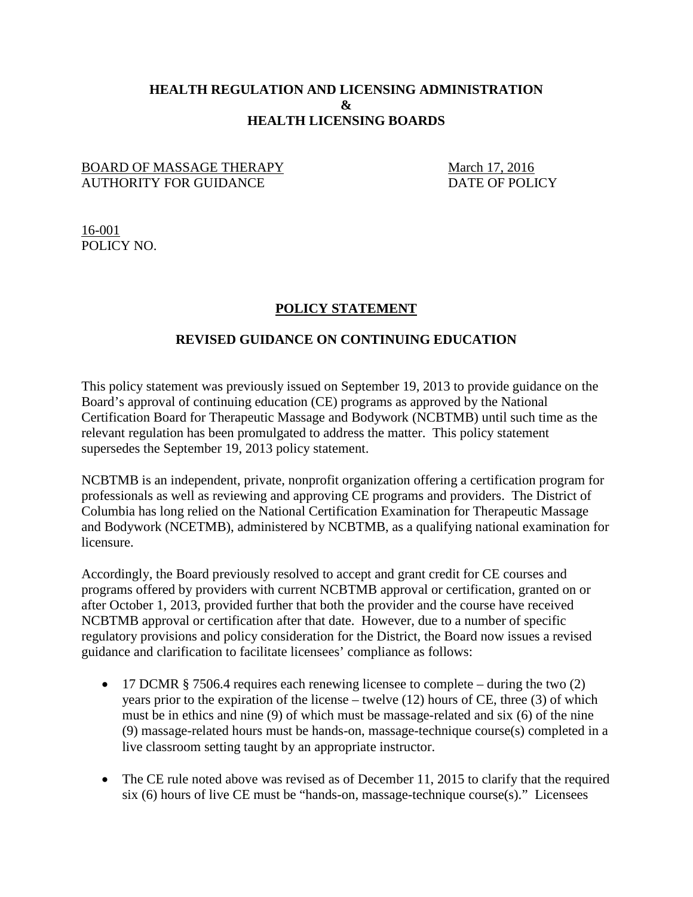## **HEALTH REGULATION AND LICENSING ADMINISTRATION & HEALTH LICENSING BOARDS**

## BOARD OF MASSAGE THERAPY March 17, 2016<br>AUTHORITY FOR GUIDANCE DATE OF POLICY AUTHORITY FOR GUIDANCE

16-001 POLICY NO.

## **POLICY STATEMENT**

## **REVISED GUIDANCE ON CONTINUING EDUCATION**

This policy statement was previously issued on September 19, 2013 to provide guidance on the Board's approval of continuing education (CE) programs as approved by the National Certification Board for Therapeutic Massage and Bodywork (NCBTMB) until such time as the relevant regulation has been promulgated to address the matter. This policy statement supersedes the September 19, 2013 policy statement.

NCBTMB is an independent, private, nonprofit organization offering a certification program for professionals as well as reviewing and approving CE programs and providers. The District of Columbia has long relied on the National Certification Examination for Therapeutic Massage and Bodywork (NCETMB), administered by NCBTMB, as a qualifying national examination for licensure.

Accordingly, the Board previously resolved to accept and grant credit for CE courses and programs offered by providers with current NCBTMB approval or certification, granted on or after October 1, 2013, provided further that both the provider and the course have received NCBTMB approval or certification after that date. However, due to a number of specific regulatory provisions and policy consideration for the District, the Board now issues a revised guidance and clarification to facilitate licensees' compliance as follows:

- 17 DCMR § 7506.4 requires each renewing licensee to complete during the two (2) years prior to the expiration of the license – twelve (12) hours of CE, three (3) of which must be in ethics and nine (9) of which must be massage-related and six (6) of the nine (9) massage-related hours must be hands-on, massage-technique course(s) completed in a live classroom setting taught by an appropriate instructor.
- The CE rule noted above was revised as of December 11, 2015 to clarify that the required six (6) hours of live CE must be "hands-on, massage-technique course(s)." Licensees